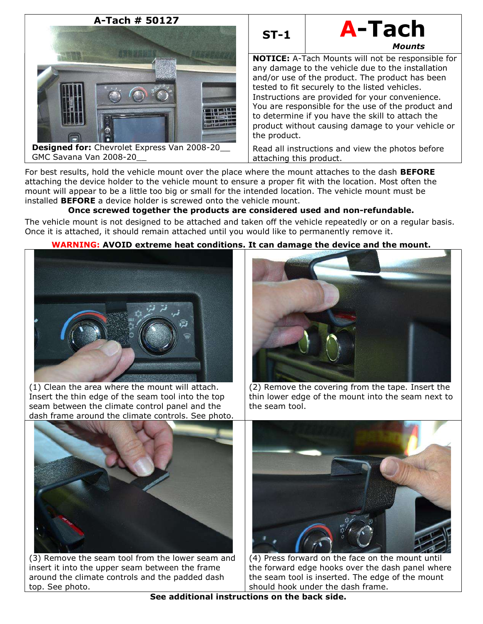

**Designed for:** Chevrolet Express Van 2008-20 GMC Savana Van 2008-20\_\_



NOTICE: A-Tach Mounts will not be responsible for any damage to the vehicle due to the installation and/or use of the product. The product has been tested to fit securely to the listed vehicles. Instructions are provided for your convenience. You are responsible for the use of the product and to determine if you have the skill to attach the product without causing damage to your vehicle or the product.

Read all instructions and view the photos before attaching this product.

For best results, hold the vehicle mount over the place where the mount attaches to the dash **BEFORE** attaching the device holder to the vehicle mount to ensure a proper fit with the location. Most often the mount will appear to be a little too big or small for the intended location. The vehicle mount must be installed BEFORE a device holder is screwed onto the vehicle mount.

# Once screwed together the products are considered used and non-refundable.

The vehicle mount is not designed to be attached and taken off the vehicle repeatedly or on a regular basis. Once it is attached, it should remain attached until you would like to permanently remove it.

# WARNING: AVOID extreme heat conditions. It can damage the device and the mount.



(1) Clean the area where the mount will attach. Insert the thin edge of the seam tool into the top seam between the climate control panel and the dash frame around the climate controls. See photo.



(2) Remove the covering from the tape. Insert the thin lower edge of the mount into the seam next to the seam tool.



(3) Remove the seam tool from the lower seam and insert it into the upper seam between the frame around the climate controls and the padded dash top. See photo.



(4) Press forward on the face on the mount until the forward edge hooks over the dash panel where the seam tool is inserted. The edge of the mount should hook under the dash frame.

See additional instructions on the back side.